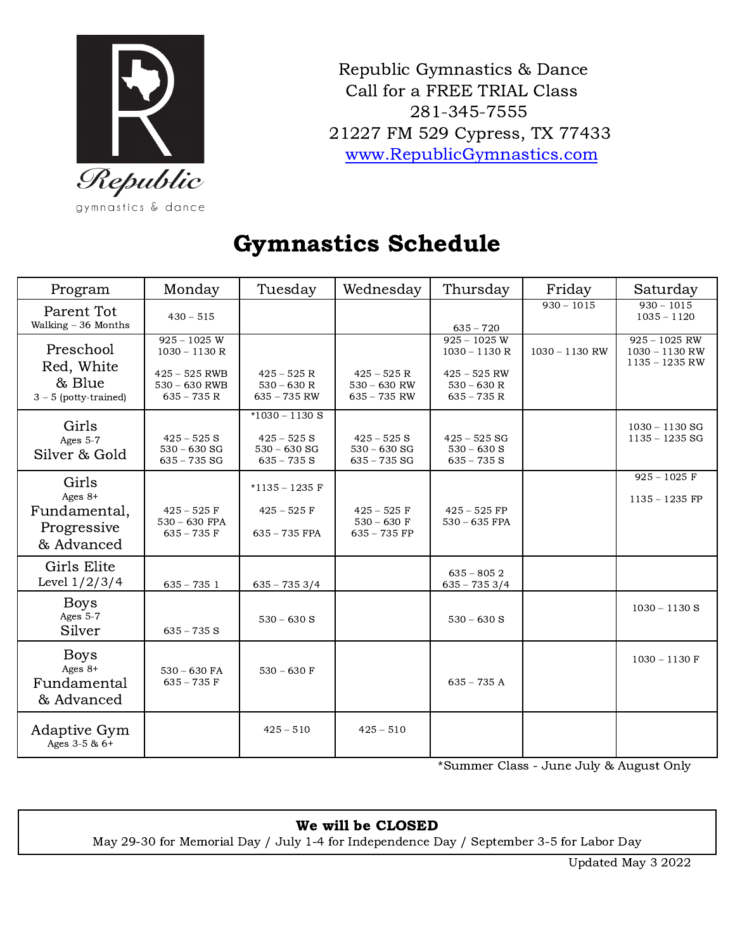

Republic Gymnastics & Dance Call for a FREE TRIAL Class 281-345-7555 FM 529 Cypress, TX 77433 [www.RepublicGymnastics.com](http://www.republicgymnastics.com)

### Gymnastics Schedule

| Program                                                         | Monday                                                                                  | Tuesday                                                              | Wednesday                                         | Thursday                                                                             | Friday           | Saturday                                                |
|-----------------------------------------------------------------|-----------------------------------------------------------------------------------------|----------------------------------------------------------------------|---------------------------------------------------|--------------------------------------------------------------------------------------|------------------|---------------------------------------------------------|
| Parent Tot<br>Walking - 36 Months                               | $430 - 515$                                                                             |                                                                      |                                                   | $635 - 720$                                                                          | $930 - 1015$     | $930 - 1015$<br>$1035 - 1120$                           |
| Preschool<br>Red, White<br>& Blue<br>$3 - 5$ (potty-trained)    | $925 - 1025$ W<br>$1030 - 1130R$<br>$425 - 525$ RWB<br>$530 - 630$ RWB<br>$635 - 735 R$ | $425 - 525 R$<br>$530 - 630 R$<br>$635 - 735$ RW                     | $425 - 525 R$<br>$530 - 630$ RW<br>$635 - 735$ RW | $925 - 1025$ W<br>$1030 - 1130R$<br>$425 - 525$ RW<br>$530 - 630 R$<br>$635 - 735 R$ | $1030 - 1130$ RW | $925 - 1025$ RW<br>$1030 - 1130$ RW<br>$1135 - 1235$ RW |
| Girls<br>Ages 5-7<br>Silver & Gold                              | $425 - 525$ S<br>$530 - 630$ SG<br>$635 - 735$ SG                                       | $*1030 - 1130$ S<br>$425 - 525$ S<br>$530 - 630$ SG<br>$635 - 735$ S | $425 - 525$ S<br>$530 - 630$ SG<br>$635 - 735$ SG | $425 - 525$ SG<br>$530 - 630$ S<br>$635 - 735$ S                                     |                  | $1030 - 1130$ SG<br>$1135 - 1235$ SG                    |
| Girls<br>Ages $8+$<br>Fundamental,<br>Progressive<br>& Advanced | $425 - 525$ F<br>$530 - 630$ FPA<br>$635 - 735$ F                                       | $*1135 - 1235$ F<br>$425 - 525$ F<br>$635 - 735$ FPA                 | $425 - 525$ F<br>$530 - 630$ F<br>$635 - 735$ FP  | $425 - 525$ FP<br>$530 - 635$ FPA                                                    |                  | $925 - 1025$ F<br>$1135 - 1235$ FP                      |
| Girls Elite<br>Level $1/2/3/4$                                  | $635 - 7351$                                                                            | $635 - 7353/4$                                                       |                                                   | $635 - 8052$<br>$635 - 7353/4$                                                       |                  |                                                         |
| <b>Boys</b><br>Ages 5-7<br>Silver                               | $635 - 735$ S                                                                           | $530 - 630$ S                                                        |                                                   | $530 - 630$ S                                                                        |                  | $1030 - 1130$ S                                         |
| <b>Boys</b><br>Ages 8+<br>Fundamental<br>& Advanced             | $530 - 630$ FA<br>$635 - 735$ F                                                         | $530 - 630$ F                                                        |                                                   | $635 - 735$ A                                                                        |                  | $1030 - 1130$ F                                         |
| Adaptive Gym<br>Ages 3-5 & 6+                                   |                                                                                         | $425 - 510$                                                          | $425 - 510$                                       |                                                                                      |                  |                                                         |

\*Summer Class - June July & August Only

### We will be CLOSED

May 29-30 for Memorial Day / July 1-4 for Independence Day / September 3-5 for Labor Day

Updated May 3 2022